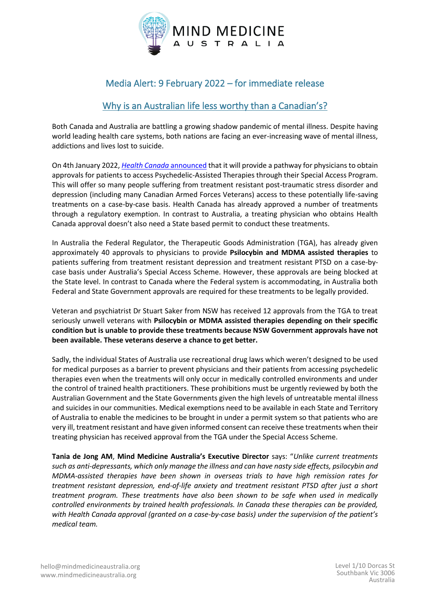

# Media Alert: 9 February 2022 – for immediate release

# Why is an Australian life less worthy than a Canadian's?

Both Canada and Australia are battling a growing shadow pandemic of mental illness. Despite having world leading health care systems, both nations are facing an ever-increasing wave of mental illness, addictions and lives lost to suicide.

On 4th January 2022, *[Health Canada](https://www.benzinga.com/markets/cannabis/22/01/24913445/breaking-canada-opens-new-legal-pathways-for-access-to-psychedelics-treatment-with-psilocybin-an)* announced that it will provide a pathway for physicians to obtain approvals for patients to access Psychedelic-Assisted Therapies through their Special Access Program. This will offer so many people suffering from treatment resistant post-traumatic stress disorder and depression (including many Canadian Armed Forces Veterans) access to these potentially life-saving treatments on a case-by-case basis. Health Canada has already approved a number of treatments through a regulatory exemption. In contrast to Australia, a treating physician who obtains Health Canada approval doesn't also need a State based permit to conduct these treatments.

In Australia the Federal Regulator, the Therapeutic Goods Administration (TGA), has already given approximately 40 approvals to physicians to provide **Psilocybin and MDMA assisted therapies** to patients suffering from treatment resistant depression and treatment resistant PTSD on a case-bycase basis under Australia's Special Access Scheme. However, these approvals are being blocked at the State level. In contrast to Canada where the Federal system is accommodating, in Australia both Federal and State Government approvals are required for these treatments to be legally provided.

Veteran and psychiatrist Dr Stuart Saker from NSW has received 12 approvals from the TGA to treat seriously unwell veterans with **Psilocybin or MDMA assisted therapies depending on their specific condition but is unable to provide these treatments because NSW Government approvals have not been available. These veterans deserve a chance to get better.**

Sadly, the individual States of Australia use recreational drug laws which weren't designed to be used for medical purposes as a barrier to prevent physicians and their patients from accessing psychedelic therapies even when the treatments will only occur in medically controlled environments and under the control of trained health practitioners. These prohibitions must be urgently reviewed by both the Australian Government and the State Governments given the high levels of untreatable mental illness and suicides in our communities. Medical exemptions need to be available in each State and Territory of Australia to enable the medicines to be brought in under a permit system so that patients who are very ill, treatment resistant and have given informed consent can receive these treatments when their treating physician has received approval from the TGA under the Special Access Scheme.

**Tania de Jong AM**, **Mind Medicine Australia's Executive Director** says: "*Unlike current treatments such as anti-depressants, which only manage the illness and can have nasty side effects, psilocybin and MDMA-assisted therapies have been shown in overseas trials to have high remission rates for treatment resistant depression, end-of-life anxiety and treatment resistant PTSD after just a short treatment program. These treatments have also been shown to be safe when used in medically controlled environments by trained health professionals. In Canada these therapies can be provided, with Health Canada approval (granted on a case-by-case basis) under the supervision of the patient's medical team.*